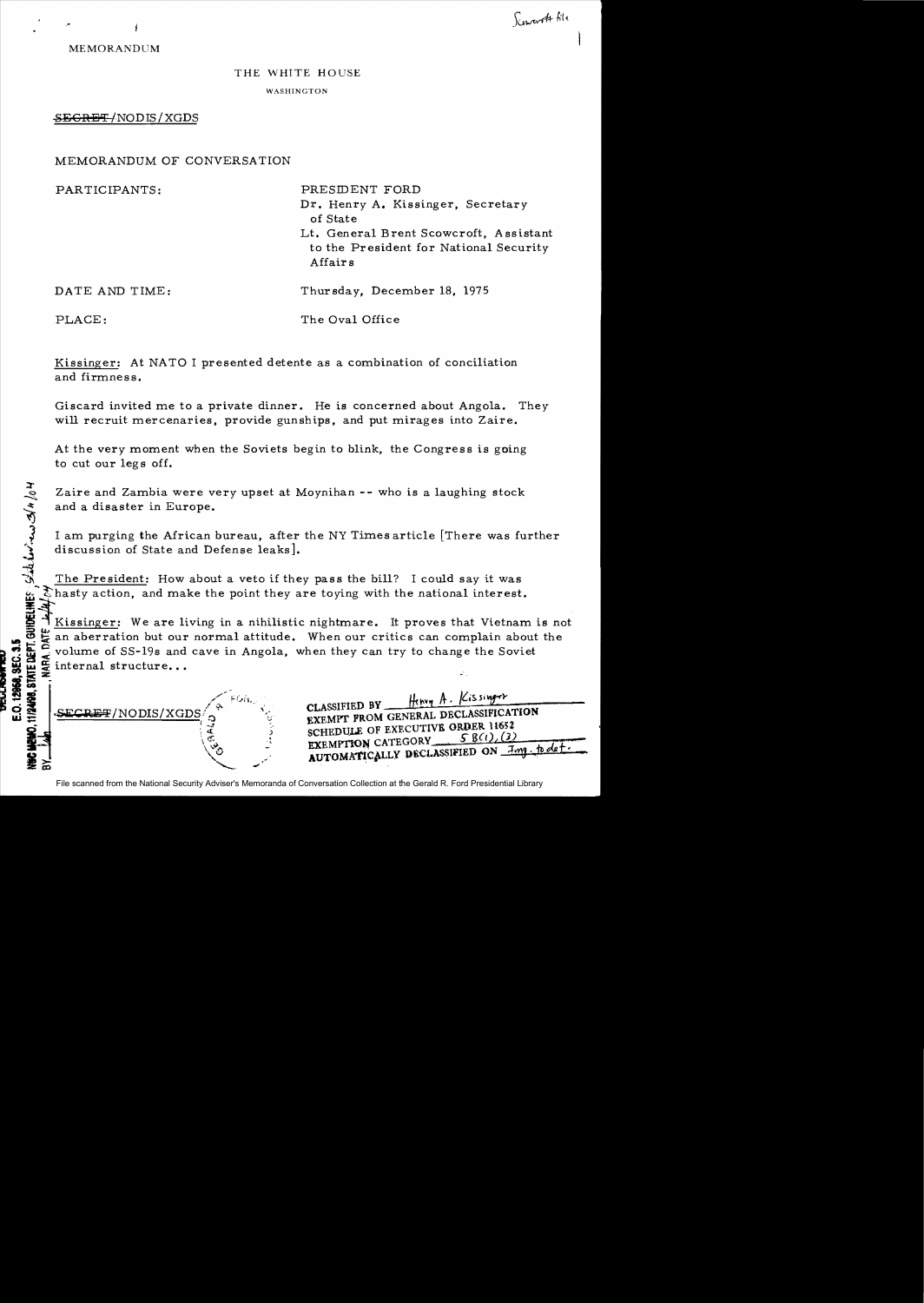MEMORANDUM

,"

## THE WHITE HOUSE WASHINGTON

## SEGRET/NODIS/XGDS

MEMORANDUM OF CONVERSATION

PARTICIPANTS: PRESIDENT FORD

Dr. Henry A. Kissinger, Secretary of State

Lt. General Brent Scowcroft, Assistant to the President for National Security Affair s

DATE AND TIME: Thursday, December 18, 1975

 $d/4$  $\mathscr{Z}$ 

PLACE: The Oval Office

Kissinger: At NATO I presented detente as a combination of conciliation and firmness.

Giscard invited me to a private dinner. He is concerned about Angola. They will recruit mercenaries, provide gunships, and put mirages into Zaire.

At the very moment when the Soviets begin to blink, the Congress is going to cut our legs off.

Zaire and Zambia were very upset at Moynihan -- who is a laughing stock and a disaster in Europe.

I am purging the African bureau, after the NY Times article [There was further discussion of State and Defense leaks].

The President: How about a veto if they pass the bill? I could say it was  $\mathcal{\mathcal{E}}$  hasty action, and make the point they are toying with the national interest.  $\mathbb{B}$ 

Kissinger: We are living in a nihilistic nightmare. It proves that Vietnam is not an aberration but our normal attitude. When our critics can complain about the volume of SS-19s and cave in Angola, when they can try to change the Soviet internal structure...



SCHEDULE OF EXECUTIVE ORDER  $11652$ <br>  $5 B(1)(2)$ EXEMPTION CATEGORY AUTOMATICALLY DECLASSIFIED ON *Imp. to det*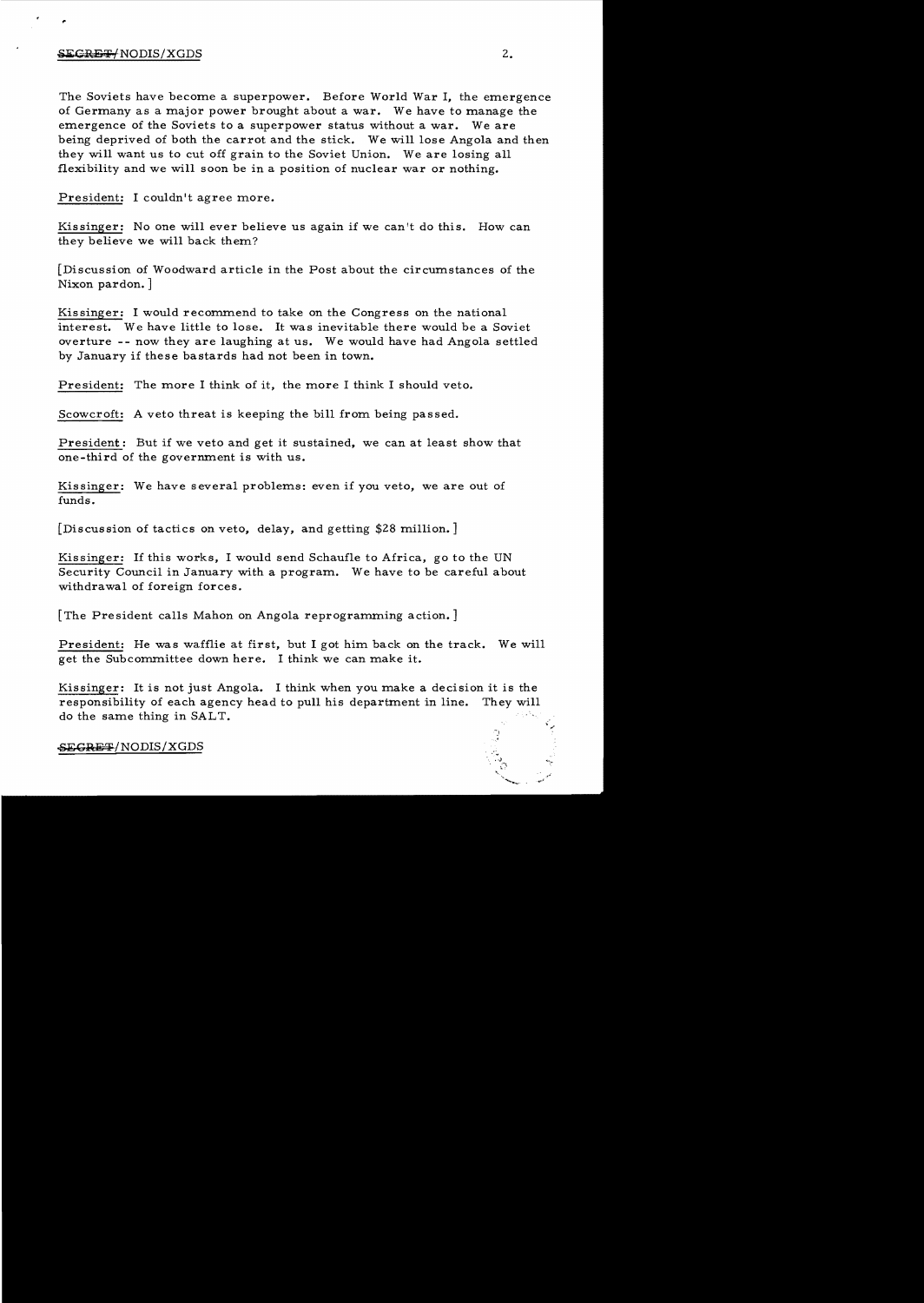## $\frac{1}{2}$ :  $\frac{1}{2}$   $\frac{1}{2}$   $\frac{1}{2}$   $\frac{1}{2}$   $\frac{1}{2}$   $\frac{1}{2}$   $\frac{1}{2}$   $\frac{1}{2}$   $\frac{1}{2}$   $\frac{1}{2}$   $\frac{1}{2}$   $\frac{1}{2}$   $\frac{1}{2}$   $\frac{1}{2}$   $\frac{1}{2}$   $\frac{1}{2}$   $\frac{1}{2}$   $\frac{1}{2}$   $\frac{1}{2}$   $\frac{1}{2}$   $\frac{1}{2}$

The Soviets have become a superpower. Before World War I, the emergence of Germany as a major power brought about a war. We have to manage the emergence of the Soviets to a superpower status without a war. We are being deprived of both the carrot and the stick. We will lose Angola and then they will want us to cut off grain to the Soviet Union. Weare losing all flexibility and we will soon be in a position of nuclear war or nothing.

President: I couldn't agree more.

Kissinger: No one will ever believe us again if we can't do this. How can they believe we will back them?

[Discussion of Woodward article in the Post about the circumstances of the Nixon pardon.]

Kissinger: I would recommend to take on the Congress on the national interest. We have little to lose. It was inevitable there would be a Soviet overture -- now they are laughing at us. We would have had Angola settled by January if these bastards had not been in town.

President: The more I think of it, the more I think I should veto.

Scowcroft: A veto threat is keeping the bill from being passed.

President: But if we veto and get it sustained, we can at least show that one-third of the government is with us.

Kissinger: We have several problems: even if you veto, we are out of funds.

[Discussion of tactics on veto, delay, and getting \$28 million. ]

Kissinger: If this works, I would send Schaufle to Africa, go to the UN Security Council in January with a program. We have to be careful about withdrawal of foreign forces.

[The President calls Mahon on Angola reprogramming action. ]

President: He was wafflie at first, but I got him back on the track. We will get the Subcommittee down here. I think we can make it.

Kissinger: It is not just Angola. I think when you make a decision it is the responsibility of each agency head to pull his department in line. They will do the same thing in SALT.

**~SEGRET/NODIS/XGDS**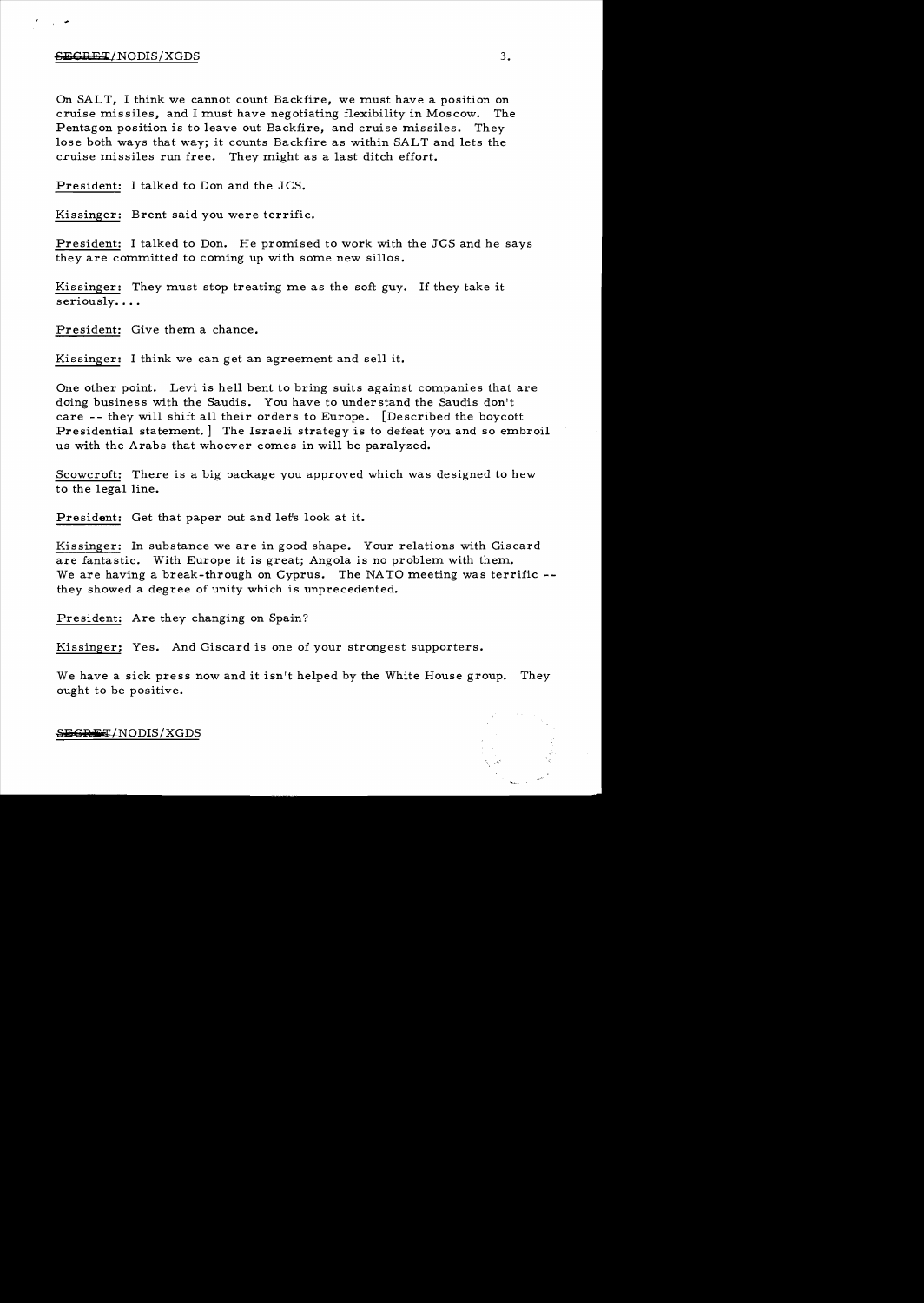## $-6.3$   $-3.3$

On SALT, I think we cannot count Backfire, we must have a position on cruise missiles, and I must have negotiating flexibility in Moscow. The Pentagon position is to leave out Backfire, and cruise missiles. They lose both ways that way; it counts Backfire as within SALT and lets the cruise missiles run free. They might as a last ditch effort.

President: I talked to Don and the JCS.

Kissinger: Brent said you were terrific.

President: I talked to Don. He promised to work with the JCS and he says they are committed to coming up with some new sillos.

Kissinger: They must stop treating me as the soft guy. If they take it seriously....

President: Give them a chance.

Kissinger: I think we can get an agreement and sell it.

One other point. Levi is hell bent to bring suits against companies that are doing business with the Saudis. You have to understand the Saudis don't care - - they will shift all their orders to Europe. [Described the boycott Presidential statement.] The Israeli strategy is to defeat you and so embroil us with the Arabs that whoever comes in will be paralyzed.

Scowcroft: There is a big package you approved which was designed to hew to the legal line.

President: Get that paper out and let's look at it.

Kissinger: In substance we are in good shape. Your relations with Giscard are fantastic. With Europe it is great; Angola is no problem with them. We are having a break-through on Cyprus. The NATO meeting was terrific -they showed a degree of unity which is unprecedented.

President: Are they changing on Spain?

Kissinger; Yes. And Giscard is one of your strongest supporters.

We have a sick press now and it isn't helped by the White House group. They ought to be positive.

\$<del>ECRET</del>/NODIS/XGDS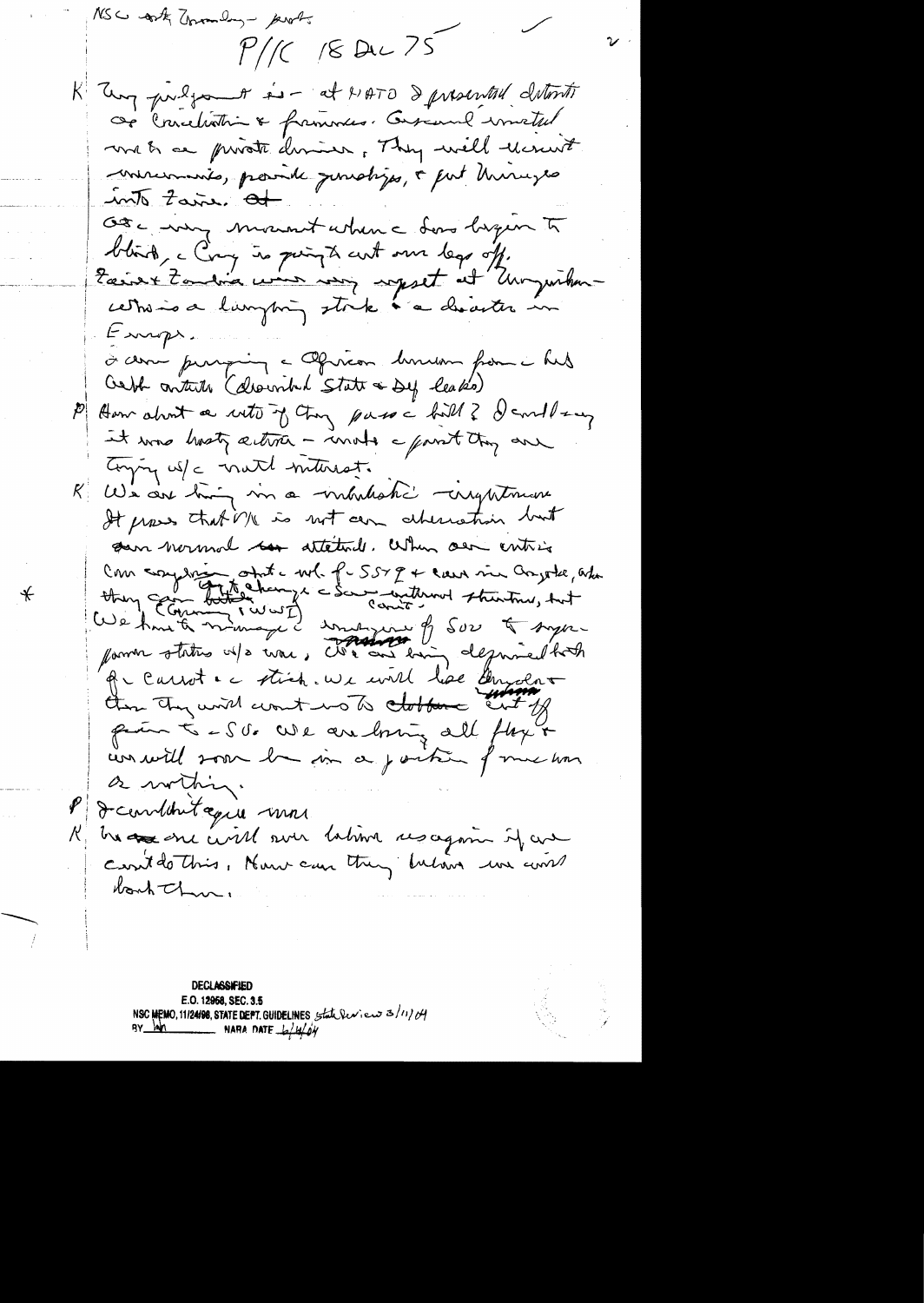NSC of the Township - ports  $11/(2 \times 2)$ K Tung puilson is - at HATO Spresental determin Or Crescelistrin & frammers. Conserved imated met au private deminer, They will recruelt mercinais, parade junctiges, a put hurunges  $\frac{1}{2}$  tarre of Ote - my mount when a dono begun to blird, c Croy is point aut sur legs off.<br>Easiert Zondria woon von soppet at Ungwilden-Europe. à com purpoing a Ofrican business from a hus Cert contrib (described State & Dy leaks) P Aum about a with of try pass a hill? danllow it was hosty active - mote a part they are Conjoy us/c math metropost. R We are high in a mhalaki conquetouse It proves that Me is not can abund their but son wormon to attend. When our entries Com complete ott - wol. f - 557 g + can via Conjote, africande and us Amete nimage d'une pour le sur la super que aussit et étient une court live aussent part - S Or We are boring all flag & conswill som he in a partie of me how a within. P J combintague more R ha as one civil sur labina resagain if are cent do this, Nouse can they below we come bonh Thur.

**DECLASSIFIED** E.O. 12958, SEC. 3.5 NSC MEMO, 11/24/98, STATE DEPT. GUIDELINES State leviews 3/11/04  $\mathbf{M}$  $\frac{1}{1}$  NARA DATE  $\frac{1}{2}$  H/OY

 $\ast$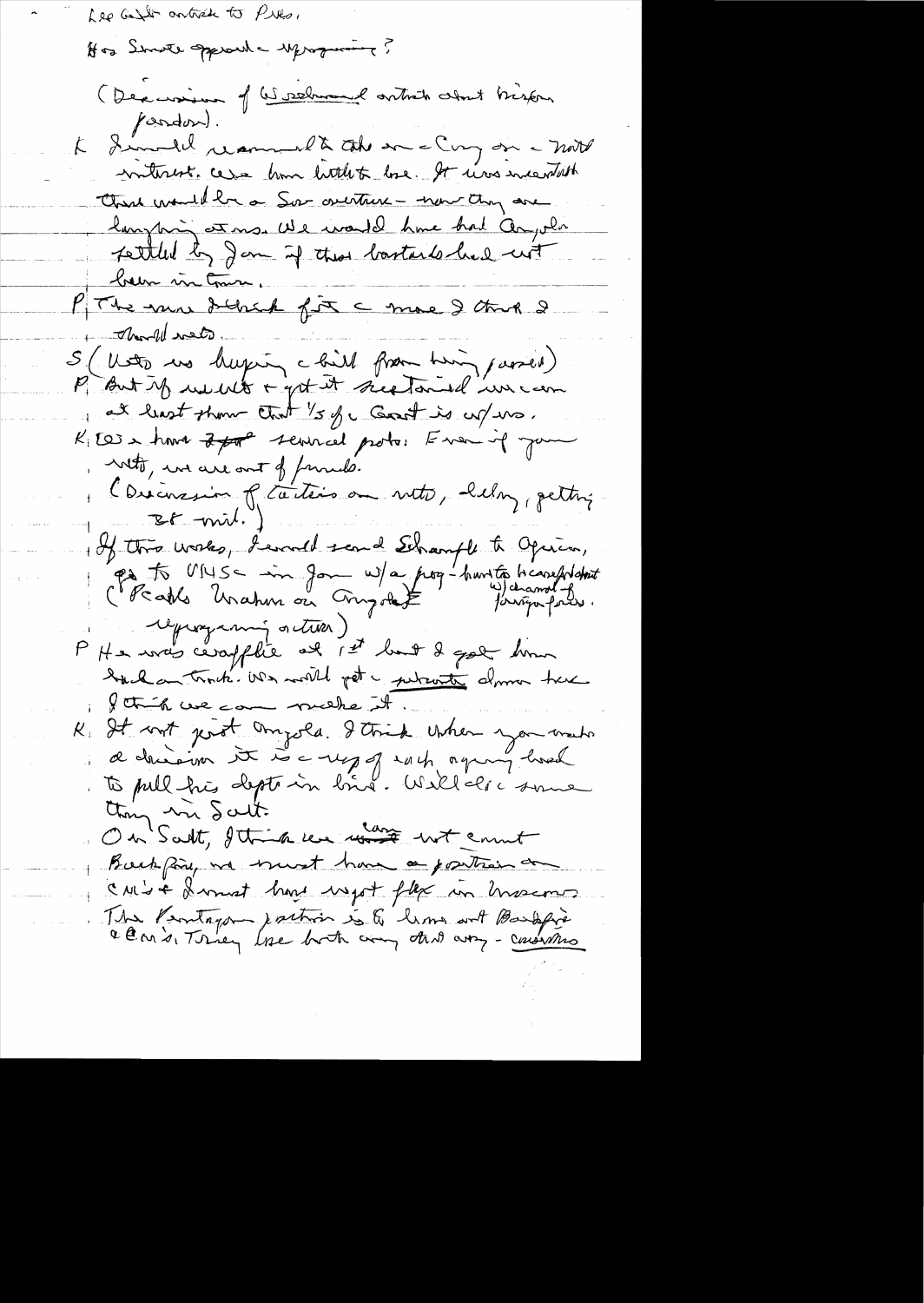Lee Get antich to Pilo,

of as Server growth - young and (Dexcession of Geneleman et article clout brissen pardon. Invented recommend to take an a Cong on a mot  $\mathcal{K}$ miterest. cesse home buttlet here. It was incentable Charl monthla a Sor overture - now they are larrytoning est mo. We would have had Cangolo fattled by Jam if they bastards had not below in Com PThe more delich fix a more & that I - There of water. S. ( Unito we happing a bill from him, passed) P But if we with a get it see tand uncan at least them that 's of a Good is up no. KIES & have 2 por servicel proto: Even of your With, we are out of funds. Consinuum of taiters on neto, help, petting  $BF$ -mil. of this works, I would send Schample to Opius, Parts MUS - im Jon W/a pour hant to hissolidate P He was ceraflic et 1et lui 8 gal homme hack on track we will get a juliante dome true I think we can mushe it K. It with just anyols. I think when you want thing in Salt. On Salt, Ittin un mot enut Buckpay we wont have a position on CM - a format have uset flex un hassemen The Pentagon postion is & him with Bandapie